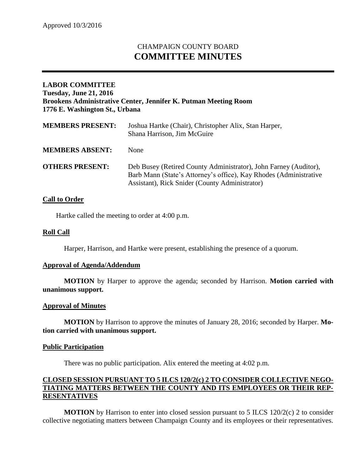# CHAMPAIGN COUNTY BOARD **COMMITTEE MINUTES**

# **LABOR COMMITTEE Tuesday, June 21, 2016 Brookens Administrative Center, Jennifer K. Putman Meeting Room 1776 E. Washington St., Urbana**

| <b>MEMBERS PRESENT:</b> | Joshua Hartke (Chair), Christopher Alix, Stan Harper,<br>Shana Harrison, Jim McGuire                                                                                                    |
|-------------------------|-----------------------------------------------------------------------------------------------------------------------------------------------------------------------------------------|
| <b>MEMBERS ABSENT:</b>  | <b>None</b>                                                                                                                                                                             |
| <b>OTHERS PRESENT:</b>  | Deb Busey (Retired County Administrator), John Farney (Auditor),<br>Barb Mann (State's Attorney's office), Kay Rhodes (Administrative<br>Assistant), Rick Snider (County Administrator) |

# **Call to Order**

Hartke called the meeting to order at 4:00 p.m.

## **Roll Call**

Harper, Harrison, and Hartke were present, establishing the presence of a quorum.

#### **Approval of Agenda/Addendum**

**MOTION** by Harper to approve the agenda; seconded by Harrison. **Motion carried with unanimous support.**

#### **Approval of Minutes**

**MOTION** by Harrison to approve the minutes of January 28, 2016; seconded by Harper. **Motion carried with unanimous support.**

#### **Public Participation**

There was no public participation. Alix entered the meeting at 4:02 p.m.

# **CLOSED SESSION PURSUANT TO 5 ILCS 120/2(c) 2 TO CONSIDER COLLECTIVE NEGO-TIATING MATTERS BETWEEN THE COUNTY AND ITS EMPLOYEES OR THEIR REP-RESENTATIVES**

**MOTION** by Harrison to enter into closed session pursuant to 5 ILCS 120/2(c) 2 to consider collective negotiating matters between Champaign County and its employees or their representatives.